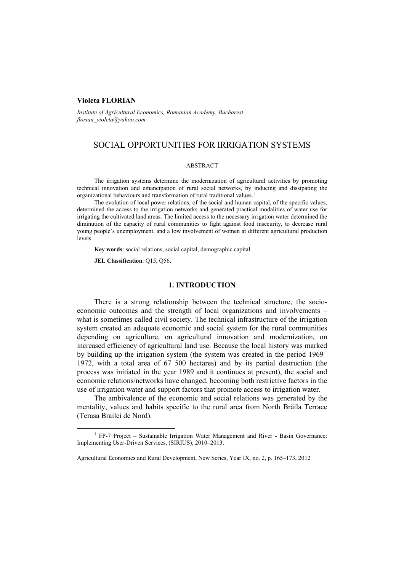# **Violeta FLORIAN**

*Institute of Agricultural Economics, Romanian Academy, Bucharest florian\_violeta@yahoo.com*

# SOCIAL OPPORTUNITIES FOR IRRIGATION SYSTEMS

#### ABSTRACT

The irrigation systems determine the modernization of agricultural activities by promoting technical innovation and emancipation of rural social networks, by inducing and dissipating the organizational behaviours and transformation of rural traditional values.<sup>1</sup>

The evolution of local power relations, of the social and human capital, of the specific values, determined the access to the irrigation networks and generated practical modalities of water use for irrigating the cultivated land areas. The limited access to the necessary irrigation water determined the diminution of the capacity of rural communities to fight against food insecurity, to decrease rural young people's unemployment, and a low involvement of women at different agricultural production levels.

**Key words**: social relations, social capital, demographic capital.

**JEL Classification**: Q15, Q56.

## **1. INTRODUCTION**

There is a strong relationship between the technical structure, the socioeconomic outcomes and the strength of local organizations and involvements – what is sometimes called civil society. The technical infrastructure of the irrigation system created an adequate economic and social system for the rural communities depending on agriculture, on agricultural innovation and modernization, on increased efficiency of agricultural land use. Because the local history was marked by building up the irrigation system (the system was created in the period 1969– 1972, with a total area of 67 500 hectares) and by its partial destruction (the process was initiated in the year 1989 and it continues at present), the social and economic relations/networks have changed, becoming both restrictive factors in the use of irrigation water and support factors that promote access to irrigation water.

The ambivalence of the economic and social relations was generated by the mentality, values and habits specific to the rural area from North Brăila Terrace (Terasa Brailei de Nord).

<sup>&</sup>lt;u>1</u>  $<sup>1</sup>$  FP-7 Project – Sustainable Irrigation Water Management and River - Basin Governance:</sup> Implementing User-Driven Services, (SIRIUS), 2010–2013.

Agricultural Economics and Rural Development, New Series, Year IX, no. 2, p. 165–173, 2012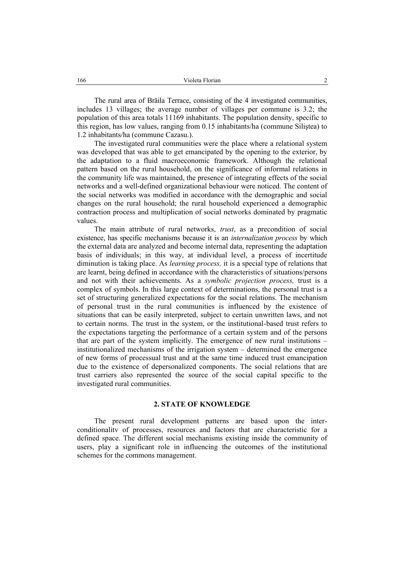The rural area of Brăila Terrace, consisting of the 4 investigated communities, includes 13 villages; the average number of villages per commune is 3.2; the population of this area totals 11169 inhabitants. The population density, specific to this region, has low values, ranging from 0.15 inhabitants/ha (commune Siliştea) to 1.2 inhabitants/ha (commune Cazasu.).

The investigated rural communities were the place where a relational system was developed that was able to get emancipated by the opening to the exterior, by the adaptation to a fluid macroeconomic framework. Although the relational pattern based on the rural household, on the significance of informal relations in the community life was maintained, the presence of integrating effects of the social networks and a well-defined organizational behaviour were noticed. The content of the social networks was modified in accordance with the demographic and social changes on the rural household; the rural household experienced a demographic contraction process and multiplication of social networks dominated by pragmatic values.

The main attribute of rural networks, *trust*, as a precondition of social existence, has specific mechanisms because it is an *internalization process* by which the external data are analyzed and become internal data, representing the adaptation basis of individuals; in this way, at individual level, a process of incertitude diminution is taking place. As *learning process,* it is a special type of relations that are learnt, being defined in accordance with the characteristics of situations/persons and not with their achievements. As a *symbolic projection process,* trust is a complex of symbols. In this large context of determinations, the personal trust is a set of structuring generalized expectations for the social relations. The mechanism of personal trust in the rural communities is influenced by the existence of situations that can be easily interpreted, subject to certain unwritten laws, and not to certain norms. The trust in the system, or the institutional-based trust refers to the expectations targeting the performance of a certain system and of the persons that are part of the system implicitly. The emergence of new rural institutions – institutionalized mechanisms of the irrigation system – determined the emergence of new forms of processual trust and at the same time induced trust emancipation due to the existence of depersonalized components. The social relations that are trust carriers also represented the source of the social capital specific to the investigated rural communities.

# **2. STATE OF KNOWLEDGE**

The present rural development patterns are based upon the interconditionalitv of processes, resources and factors that are characteristic for a defined space. The different social mechanisms existing inside the community of users, play a significant role in influencing the outcomes of the institutional schemes for the commons management.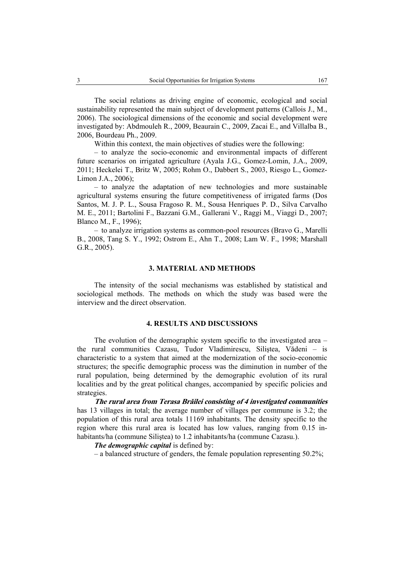The social relations as driving engine of economic, ecological and social sustainability represented the main subject of development patterns (Callois J., M., 2006). The sociological dimensions of the economic and social development were investigated by: Abdmouleh R., 2009, Beaurain C., 2009, Zacai E., and Villalba B., 2006, Bourdeau Ph., 2009.

Within this context, the main objectives of studies were the following:

– to analyze the socio-economic and environmental impacts of different future scenarios on irrigated agriculture (Ayala J.G., Gomez-Lomin, J.A., 2009, 2011; Heckelei T., Britz W, 2005; Rohm O., Dabbert S., 2003, Riesgo L., Gomez-Limon J.A., 2006);

– to analyze the adaptation of new technologies and more sustainable agricultural systems ensuring the future competitiveness of irrigated farms (Dos Santos, M. J. P. L., Sousa Fragoso R. M., Sousa Henriques P. D., Silva Carvalho M. E., 2011; Bartolini F., Bazzani G.M., Gallerani V., Raggi M., Viaggi D., 2007; Blanco M., F., 1996);

– to analyze irrigation systems as common-pool resources (Bravo G., Marelli B., 2008, Tang S. Y., 1992; Ostrom E., Ahn T., 2008; Lam W. F., 1998; Marshall G.R., 2005).

#### **3. MATERIAL AND METHODS**

The intensity of the social mechanisms was established by statistical and sociological methods. The methods on which the study was based were the interview and the direct observation.

## **4. RESULTS AND DISCUSSIONS**

The evolution of the demographic system specific to the investigated area – the rural communities Cazasu, Tudor Vladimirescu, Siliştea, Vădeni – is characteristic to a system that aimed at the modernization of the socio-economic structures; the specific demographic process was the diminution in number of the rural population, being determined by the demographic evolution of its rural localities and by the great political changes, accompanied by specific policies and strategies.

**The rural area from Terasa Brăilei consisting of 4 investigated communities** has 13 villages in total; the average number of villages per commune is 3.2; the population of this rural area totals 11169 inhabitants. The density specific to the region where this rural area is located has low values, ranging from 0.15 inhabitants/ha (commune Siliştea) to 1.2 inhabitants/ha (commune Cazasu.).

## *The demographic capital* is defined by:

– a balanced structure of genders, the female population representing 50.2%;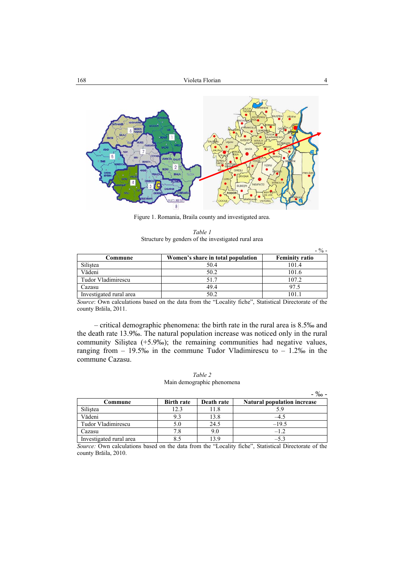

Figure 1. Romania, Braila county and investigated area.

|  | Table 1 |                                                     |  |
|--|---------|-----------------------------------------------------|--|
|  |         | Structure by genders of the investigated rural area |  |

|                         |                                   | $-$ % –               |
|-------------------------|-----------------------------------|-----------------------|
| Commune                 | Women's share in total population | <b>Feminity ratio</b> |
| Silistea                | 50.4                              | 101.4                 |
| Vădeni                  | 50.2                              | 101.6                 |
| Tudor Vladimirescu      | 51.7                              | 107.2                 |
| Cazasu                  | 49.4                              | 97.5                  |
| Investigated rural area | 50.2                              |                       |

*Source*: Own calculations based on the data from the "Locality fiche", Statistical Directorate of the county Brăila, 2011.

– critical demographic phenomena: the birth rate in the rural area is 8.5‰ and the death rate 13.9‰. The natural population increase was noticed only in the rural community Siliştea (+5.9‰); the remaining communities had negative values, ranging from  $-19.5\%$  in the commune Tudor Vladimirescu to  $-1.2\%$  in the commune Cazasu.

#### *Table 2*  Main demographic phenomena

- ‰ -

|                         |                   |            | $\overline{\phantom{a}}$           |
|-------------------------|-------------------|------------|------------------------------------|
| Commune                 | <b>Birth rate</b> | Death rate | <b>Natural population increase</b> |
| Silistea                | 12.3              |            |                                    |
| Vădeni                  | 9.3               | 13.8       |                                    |
| Tudor Vladimirescu      |                   | 24.5       | $-19.5$                            |
| Cazasu                  | 7.8               | 9.0        | $-12$                              |
| Investigated rural area |                   |            | $-5.3$                             |

*Source:* Own calculations based on the data from the "Locality fiche", Statistical Directorate of the county Brăila, 2010.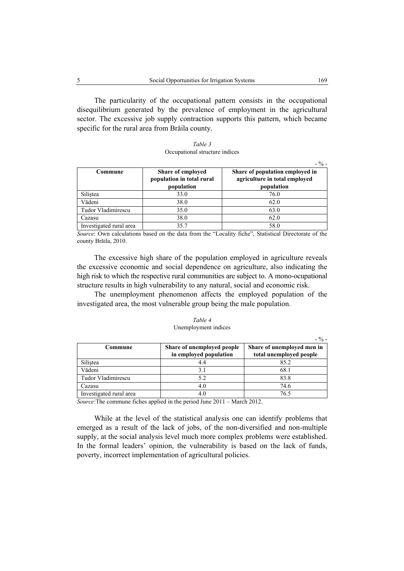The particularity of the occupational pattern consists in the occupational disequilibrium generated by the prevalence of employment in the agricultural sector. The excessive job supply contraction supports this pattern, which became specific for the rural area from Brăila county.

| Table 3                        |
|--------------------------------|
| Occupational structure indices |

| Commune                 | Share of employed<br>population in total rural<br>population | Share of population employed in<br>agriculture in total employed<br>population |
|-------------------------|--------------------------------------------------------------|--------------------------------------------------------------------------------|
| Silistea                | 33.0                                                         | 76.0                                                                           |
| Vădeni                  | 38.0                                                         | 62.0                                                                           |
| Tudor Vladimirescu      | 35.0                                                         | 63.0                                                                           |
| Cazasu                  | 38.0                                                         | 62.0                                                                           |
| Investigated rural area | 357                                                          | 58.0                                                                           |

*Source*: Own calculations based on the data from the "Locality fiche", Statistical Directorate of the county Brăila, 2010.

The excessive high share of the population employed in agriculture reveals the excessive economic and social dependence on agriculture, also indicating the high risk to which the respective rural communities are subject to. A mono-ocupational structure results in high vulnerability to any natural, social and economic risk.

The unemployment phenomenon affects the employed population of the investigated area, the most vulnerable group being the male population.

| Table 4              |  |
|----------------------|--|
| Unemployment indices |  |

| Commune                 | Share of unemployed people | Share of unemployed men in |  |
|-------------------------|----------------------------|----------------------------|--|
|                         | in employed population     | total unemployed people    |  |
| Silistea                |                            | 85.2                       |  |
| Vădeni                  |                            | 68.1                       |  |
| Tudor Vladimirescu      | 5.2                        | 83.8                       |  |
| Cazasu                  |                            | 74.6                       |  |
| Investigated rural area |                            | 76.5                       |  |

*Source*:The commune fiches applied in the period June 2011 – March 2012.

While at the level of the statistical analysis one can identify problems that emerged as a result of the lack of jobs, of the non-diversified and non-multiple supply, at the social analysis level much more complex problems were established. In the formal leaders' opinion, the vulnerability is based on the lack of funds, poverty, incorrect implementation of agricultural policies.

 $- 0/2 -$ 

 $^{\circ}$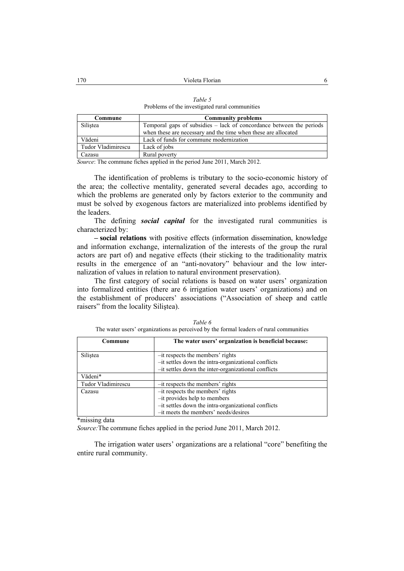| Commune            | <b>Community problems</b>                                            |  |  |
|--------------------|----------------------------------------------------------------------|--|--|
| Silistea           | Temporal gaps of subsidies - lack of concordance between the periods |  |  |
|                    | when these are necessary and the time when these are allocated       |  |  |
| Vădeni             | Lack of funds for commune modernization                              |  |  |
| Tudor Vladimirescu | Lack of jobs                                                         |  |  |
| Cazasu             | Rural poverty                                                        |  |  |

*Table 5*  Problems of the investigated rural communities

*Source*: The commune fiches applied in the period June 2011, March 2012.

The identification of problems is tributary to the socio-economic history of the area; the collective mentality, generated several decades ago, according to which the problems are generated only by factors exterior to the community and must be solved by exogenous factors are materialized into problems identified by the leaders.

The defining *social capital* for the investigated rural communities is characterized by:

**– social relations** with positive effects (information dissemination, knowledge and information exchange, internalization of the interests of the group the rural actors are part of) and negative effects (their sticking to the traditionality matrix results in the emergence of an "anti-novatory" behaviour and the low internalization of values in relation to natural environment preservation).

The first category of social relations is based on water users' organization into formalized entities (there are 6 irrigation water users' organizations) and on the establishment of producers' associations ("Association of sheep and cattle raisers" from the locality Siliştea).

| Commune                                        | The water users' organization is beneficial because: |
|------------------------------------------------|------------------------------------------------------|
| Silistea                                       | -it respects the members' rights                     |
|                                                | -it settles down the intra-organizational conflicts  |
|                                                | -it settles down the inter-organizational conflicts  |
| Vădeni*                                        |                                                      |
| Tudor Vladimirescu                             | -it respects the members' rights                     |
| Cazasu                                         | $-it$ respects the members' rights                   |
|                                                | -it provides help to members                         |
|                                                | -it settles down the intra-organizational conflicts  |
|                                                | -it meets the members' needs/desires                 |
| $\mathbf{a}$ and $\mathbf{b}$ and $\mathbf{b}$ |                                                      |

|  | Table 6                                                                                |  |
|--|----------------------------------------------------------------------------------------|--|
|  | The water users' organizations as perceived by the formal leaders of rural communities |  |

\*missing data

*Source:*The commune fiches applied in the period June 2011, March 2012.

The irrigation water users' organizations are a relational "core" benefiting the entire rural community.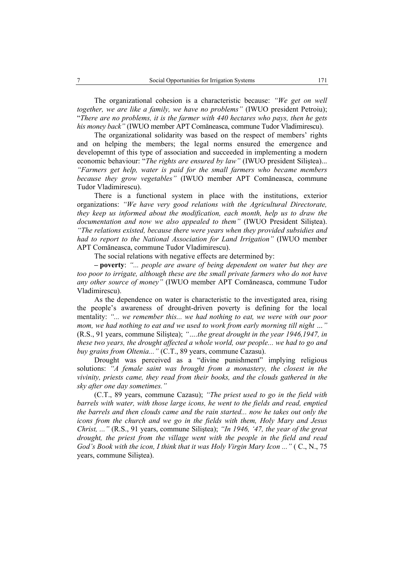The organizational cohesion is a characteristic because: *"We get on well together, we are like a family, we have no problems"* (IWUO president Petroiu); "*There are no problems, it is the farmer with 440 hectares who pays, then he gets his money back"* (IWUO member APT Comăneasca, commune Tudor Vladimirescu).

The organizational solidarity was based on the respect of members' rights and on helping the members; the legal norms ensured the emergence and developemnt of this type of association and succeeded in implementing a modern economic behaviour: "*The rights are ensured by law"* (IWUO president Siliştea)... *"Farmers get help, water is paid for the small farmers who became members because they grow vegetables"* (IWUO member APT Comăneasca, commune Tudor Vladimirescu).

There is a functional system in place with the institutions, exterior organizations: *"We have very good relations with the Agricultural Directorate, they keep us informed about the modification, each month, help us to draw the documentation and now we also appealed to them"* (IWUO President Siliştea). *"The relations existed, because there were years when they provided subsidies and had to report to the National Association for Land Irrigation"* (IWUO member APT Comăneasca, commune Tudor Vladimirescu).

The social relations with negative effects are determined by:

**– poverty**: *"... people are aware of being dependent on water but they are too poor to irrigate, although these are the small private farmers who do not have any other source of money"* (IWUO member APT Comăneasca, commune Tudor Vladimirescu).

As the dependence on water is characteristic to the investigated area, rising the people's awareness of drought-driven poverty is defining for the local mentality: *"... we remember this... we had nothing to eat, we were with our poor mom, we had nothing to eat and we used to work from early morning till night …"* (R.S., 91 years, commune Siliştea); *"….the great drought in the year 1946,1947, in these two years, the drought affected a whole world, our people... we had to go and buy grains from Oltenia..."* (C.T., 89 years, commune Cazasu).

Drought was perceived as a "divine punishment" implying religious solutions: *"A female saint was brought from a monastery, the closest in the vivinity, priests came, they read from their books, and the clouds gathered in the sky after one day sometimes."* 

(C.T., 89 years, commune Cazasu); *"The priest used to go in the field with barrels with water, with those large icons, he went to the fields and read, emptied the barrels and then clouds came and the rain started... now he takes out only the icons from the church and we go in the fields with them, Holy Mary and Jesus Christ, ..."* (R.S., 91 years, commune Siliştea); *"In 1946, '47, the year of the great drought, the priest from the village went with the people in the field and read God's Book with the icon, I think that it was Holy Virgin Mary Icon ..."* ( C., N., 75 years, commune Siliştea).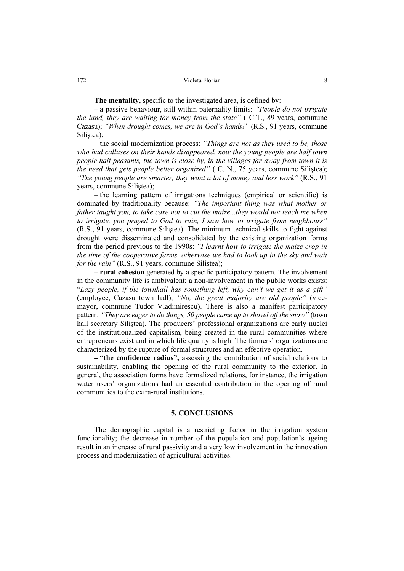**The mentality,** specific to the investigated area, is defined by:

– a passive behaviour, still within paternality limits: *"People do not irrigate the land, they are waiting for money from the state"* ( C.T., 89 years, commune Cazasu); *"When drought comes, we are in God's hands!"* (R.S., 91 years, commune Silistea);

– the social modernization process: *"Things are not as they used to be, those who had calluses on their hands disappeared, now the young people are half town people half peasants, the town is close by, in the villages far away from town it is the need that gets people better organized"* ( C. N., 75 years, commune Siliştea); *"The young people are smarter, they want a lot of money and less work"* (R.S., 91 years, commune Siliştea);

– the learning pattern of irrigations techniques (empirical or scientific) is dominated by traditionality because: *"The important thing was what mother or father taught you, to take care not to cut the maize...they would not teach me when to irrigate, you prayed to God to rain, I saw how to irrigate from neighbours"* (R.S., 91 years, commune Siliştea). The minimum technical skills to fight against drought were disseminated and consolidated by the existing organization forms from the period previous to the 1990s: *"I learnt how to irrigate the maize crop in the time of the cooperative farms, otherwise we had to look up in the sky and wait for the rain"* (R.S., 91 years, commune Silistea);

**– rural cohesion** generated by a specific participatory pattern. The involvement in the community life is ambivalent; a non-involvement in the public works exists: "*Lazy people, if the townhall has something left, why can't we get it as a gift"* (employee, Cazasu town hall), *"No, the great majority are old people"* (vicemayor, commune Tudor Vladimirescu). There is also a manifest participatory pattern: *"They are eager to do things, 50 people came up to shovel off the snow"* (town hall secretary Siliştea). The producers' professional organizations are early nuclei of the institutionalized capitalism, being created in the rural communities where entrepreneurs exist and in which life quality is high. The farmers' organizations are characterized by the rupture of formal structures and an effective operation.

**– "the confidence radius",** assessing the contribution of social relations to sustainability, enabling the opening of the rural community to the exterior. In general, the association forms have formalized relations, for instance, the irrigation water users' organizations had an essential contribution in the opening of rural communities to the extra-rural institutions.

## **5. CONCLUSIONS**

The demographic capital is a restricting factor in the irrigation system functionality; the decrease in number of the population and population's ageing result in an increase of rural passivity and a very low involvement in the innovation process and modernization of agricultural activities.